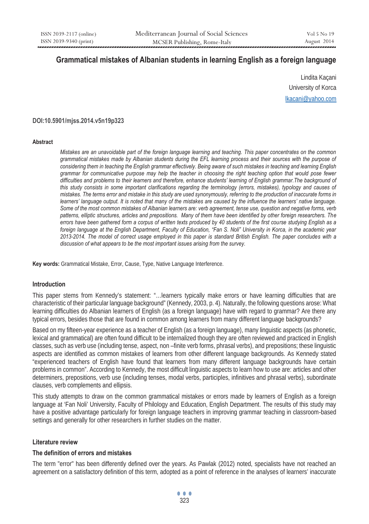# **Grammatical mistakes of Albanian students in learning English as a foreign language**

Lindita Kaçani University of Korca lkacani@yahoo.com

### **DOI:10.5901/mjss.2014.v5n19p323**

#### **Abstract**

*Mistakes are an unavoidable part of the foreign language learning and teaching. This paper concentrates on the common grammatical mistakes made by Albanian students during the EFL learning process and their sources with the purpose of considering them in teaching the English grammar effectively. Being aware of such mistakes in teaching and learning English grammar for communicative purpose may help the teacher in choosing the right teaching option that would pose fewer* difficulties and problems to their learners and therefore, enhance students' learning of English grammar. The background of *this study consists in some important clarifications regarding the terminology (errors, mistakes), typology and causes of mistakes. The terms error and mistake in this study are used synonymously, referring to the production of inaccurate forms in learners' language output. It is noted that many of the mistakes are caused by the influence the learners' native language.*  Some of the most common mistakes of Albanian learners are: verb agreement, tense use, question and negative forms, verb *patterns, elliptic structures, articles and prepositions. Many of them have been identified by other foreign researchers. The errors have been gathered form a corpus of written texts produced by 40 students of the first course studying English as a foreign language at the English Department, Faculty of Education, "Fan S. Noli" University in Korca, in the academic year 2013-2014. The model of correct usage employed in this paper is standard British English. The paper concludes with a discussion of what appears to be the most important issues arising from the survey.* 

**Key words:** Grammatical Mistake, Error, Cause, Type, Native Language Interference.

### **Introduction**

This paper stems from Kennedy's statement: "…learners typically make errors or have learning difficulties that are characteristic of their particular language background" (Kennedy, 2003, p. 4). Naturally, the following questions arose: What learning difficulties do Albanian learners of English (as a foreign language) have with regard to grammar? Are there any typical errors, besides those that are found in common among learners from many different language backgrounds?

Based on my fifteen-year experience as a teacher of English (as a foreign language), many linguistic aspects (as phonetic, lexical and grammatical) are often found difficult to be internalized though they are often reviewed and practiced in English classes, such as verb use (including tense, aspect, non –finite verb forms, phrasal verbs), and prepositions; these linguistic aspects are identified as common mistakes of learners from other different language backgrounds. As Kennedy stated "experienced teachers of English have found that learners from many different language backgrounds have certain problems in common". According to Kennedy, the most difficult linguistic aspects to learn how to use are: articles and other determiners, prepositions, verb use (including tenses, modal verbs, participles, infinitives and phrasal verbs), subordinate clauses, verb complements and ellipsis.

This study attempts to draw on the common grammatical mistakes or errors made by learners of English as a foreign language at 'Fan Noli' University, Faculty of Philology and Education, English Department. The results of this study may have a positive advantage particularly for foreign language teachers in improving grammar teaching in classroom-based settings and generally for other researchers in further studies on the matter.

### **Literature review**

### **The definition of errors and mistakes**

The term "error" has been differently defined over the years. As Pawlak (2012) noted, specialists have not reached an agreement on a satisfactory definition of this term, adopted as a point of reference in the analyses of learners' inaccurate

... <u>323</u>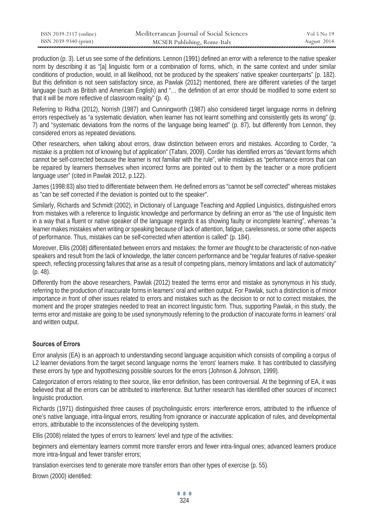| ISSN 2039-2117 (online) | Mediterranean Journal of Social Sciences | Vol 5 No 19 |
|-------------------------|------------------------------------------|-------------|
| ISSN 2039-9340 (print)  | MCSER Publishing, Rome-Italy             | August 2014 |

production (p. 3). Let us see some of the definitions. Lennon (1991) defined an error with a reference to the native speaker norm by describing it as "[a] linguistic form or a combination of forms, which, in the same context and under similar conditions of production, would, in all likelihood, not be produced by the speakers' native speaker counterparts" (p. 182). But this definition is not seen satisfactory since, as Pawlak (2012) mentioned, there are different varieties of the target language (such as British and American English) and "… the definition of an error should be modified to some extent so that it will be more reflective of classroom reality" (p. 4).

Referring to Ridha (2012), Norrish (1987) and Cunningworth (1987) also considered target language norms in defining errors respectively as "a systematic deviation, when learner has not learnt something and consistently gets its wrong" (p. 7) and "systematic deviations from the norms of the language being learned" (p. 87), but differently from Lennon, they considered errors as repeated deviations.

Other researchers, when talking about errors, draw distinction between errors and mistakes. According to Corder, "a mistake is a problem not of knowing but of application" (Tafani, 2009). Corder has identified errors as "deviant forms which cannot be self-corrected because the learner is not familiar with the rule", while mistakes as "performance errors that can be repaired by learners themselves when incorrect forms are pointed out to them by the teacher or a more proficient language user" (cited in Pawlak 2012, p.122).

James (1998:83) also tried to differentiate between them. He defined errors as "cannot be self corrected" whereas mistakes as "can be self corrected if the deviation is pointed out to the speaker".

Similarly, Richards and Schmidt (2002), in Dictionary of Language Teaching and Applied Linguistics, distinguished errors from mistakes with a reference to linguistic knowledge and performance by defining an error as "the use of linguistic item in a way that a fluent or native speaker of the language regards it as showing faulty or incomplete learning", whereas "a learner makes mistakes when writing or speaking because of lack of attention, fatigue, carelessness, or some other aspects of performance. Thus, mistakes can be self-corrected when attention is called" (p. 184).

Moreover, Ellis (2008) differentiated between errors and mistakes: the former are thought to be characteristic of non-native speakers and result from the lack of knowledge, the latter concern performance and be "regular features of native-speaker speech, reflecting processing failures that arise as a result of competing plans, memory limitations and lack of automaticity" (p. 48).

Differently from the above researchers, Pawlak (2012) treated the terms error and mistake as synonymous in his study, referring to the production of inaccurate forms in learners' oral and written output. For Pawlak, such a distinction is of minor importance in front of other issues related to errors and mistakes such as the decision to or not to correct mistakes, the moment and the proper strategies needed to treat an incorrect linguistic form. Thus, supporting Pawlak, in this study, the terms error and mistake are going to be used synonymously referring to the production of inaccurate forms in learners' oral and written output.

## **Sources of Errors**

Error analysis (EA) is an approach to understanding second language acquisition which consists of compiling a corpus of L2 learner deviations from the target second language norms the 'errors' learners make. It has contributed to classifying these errors by type and hypothesizing possible sources for the errors (Johnson & Johnson, 1999).

Categorization of errors relating to their source, like error definition, has been controversial. At the beginning of EA, it was believed that all the errors can be attributed to interference. But further research has identified other sources of incorrect linguistic production.

Richards (1971) distinguished three causes of psycholinguistic errors: interference errors, attributed to the influence of one's native language, intra-lingual errors, resulting from ignorance or inaccurate application of rules, and developmental errors, attributable to the inconsistencies of the developing system.

Ellis (2008) related the types of errors to learners' level and type of the activities:

beginners and elementary learners commit more transfer errors and fewer intra-lingual ones; advanced learners produce more intra-lingual and fewer transfer errors;

translation exercises tend to generate more transfer errors than other types of exercise (p. 55).

Brown (2000) identified: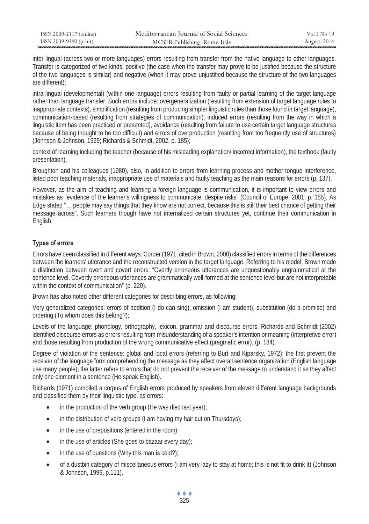| ISSN 2039-2117 (online) | Mediterranean Journal of Social Sciences | Vol 5 No 19 |
|-------------------------|------------------------------------------|-------------|
| ISSN 2039-9340 (print)  | MCSER Publishing, Rome-Italy             | August 2014 |

inter-lingual (across two or more languages) errors resulting from transfer from the native language to other languages. Transfer is categorized of two kinds: positive (the case when the transfer may prove to be justified because the structure of the two languages is similar) and negative (when it may prove unjustified because the structure of the two languages are different);

intra-lingual (developmental) (within one language) errors resulting from faulty or partial learning of the target language rather than language transfer. Such errors include: overgeneralization (resulting from extension of target language rules to inappropriate contexts), simplification (resulting from producing simpler linguistic rules than those found in target language), communication-based (resulting from strategies of communication), induced errors (resulting from the way in which a linguistic item has been practiced or presented), avoidance (resulting from failure to use certain target language structures because of being thought to be too difficult) and errors of overproduction (resulting from too frequently use of structures) (Johnson & Johnson, 1999; Richards & Schmidt, 2002, p. 185);

context of learning including the teacher (because of his misleading explanation/ incorrect information), the textbook (faulty presentation).

Broughton and his colleagues (1980), also, in addition to errors from learning process and mother tongue interference, listed poor teaching materials, inappropriate use of materials and faulty teaching as the main reasons for errors (p. 137).

However, as the aim of teaching and learning a foreign language is communication, it is important to view errors and mistakes as "evidence of the learner's willingness to communicate, despite risks" (Council of Europe, 2001, p. 155). As Edge stated "… people may say things that they know are not correct, because this is still their best chance of getting their message across". Such learners though have not internalized certain structures yet, continue their communication in English.

## **Types of errors**

Errors have been classified in different ways. Corder (1971, cited in Brown, 2000) classified errors in terms of the differences between the learners' utterance and the reconstructed version in the target language. Referring to his model, Brown made a distinction between overt and covert errors: "Overtly erroneous utterances are unquestionably ungrammatical at the sentence level. Covertly erroneous utterances are grammatically well-formed at the sentence level but are not interpretable within the context of communication" (p. 220).

Brown has also noted other different categories for describing errors, as following:

Very generalized categories: errors of addition (I do can sing), omission (I am student), substitution (do a promise) and ordering (To whom does this belong?);

Levels of the language: phonology, orthography, lexicon, grammar and discourse errors. Richards and Schmidt (2002) identified discourse errors as errors resulting from misunderstanding of a speaker's intention or meaning (interpretive error) and those resulting from production of the wrong communicative effect (pragmatic error), (p. 184).

Degree of violation of the sentence: global and local errors (referring to Burt and Kiparsky, 1972); the first prevent the receiver of the language form comprehending the message as they affect overall sentence organization (English language use many people); the latter refers to errors that do not prevent the receiver of the message to understand it as they affect only one element in a sentence (He speak English).

Richards (1971) compiled a corpus of English errors produced by speakers from eleven different language backgrounds and classified them by their linguistic type, as errors:

- $\bullet$  in the production of the verb group (He was died last year);
- $\bullet$  in the distribution of verb groups (I am having my hair cut on Thursdays);
- $\bullet$  in the use of prepositions (entered in the room);
- in the use of articles (She goes to bazaar every day);
- $\bullet$  in the use of questions (Why this man is cold?);
- x of a dustbin category of miscellaneous errors (I am very lazy to stay at home; this is not fit to drink it) (Johnson & Johnson, 1999, p.111).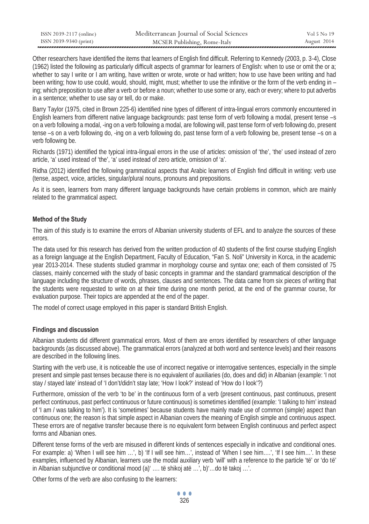| ISSN 2039-2117 (online) | Mediterranean Journal of Social Sciences | Vol 5 No 19 |
|-------------------------|------------------------------------------|-------------|
| ISSN 2039-9340 (print)  | MCSER Publishing, Rome-Italy             | August 2014 |

Other researchers have identified the items that learners of English find difficult. Referring to Kennedy (2003, p. 3-4), Close (1962) listed the following as particularly difficult aspects of grammar for learners of English: when to use or omit the or a; whether to say I write or I am writing, have written or wrote, wrote or had written; how to use have been writing and had been writing; how to use could, would, should, might, must; whether to use the infinitive or the form of the verb ending in – ing; which preposition to use after a verb or before a noun; whether to use some or any, each or every; where to put adverbs in a sentence; whether to use say or tell, do or make.

Barry Taylor (1975, cited in Brown 225-6) identified nine types of different of intra-lingual errors commonly encountered in English learners from different native language backgrounds: past tense form of verb following a modal, present tense –s on a verb following a modal, -ing on a verb following a modal, are following will, past tense form of verb following do, present tense –s on a verb following do, -ing on a verb following do, past tense form of a verb following be, present tense –s on a verb following be.

Richards (1971) identified the typical intra-lingual errors in the use of articles: omission of 'the', 'the' used instead of zero article, 'a' used instead of 'the', 'a' used instead of zero article, omission of 'a'.

Ridha (2012) identified the following grammatical aspects that Arabic learners of English find difficult in writing: verb use (tense, aspect, voice, articles, singular/plural nouns, pronouns and prepositions.

As it is seen, learners from many different language backgrounds have certain problems in common, which are mainly related to the grammatical aspect.

### **Method of the Study**

The aim of this study is to examine the errors of Albanian university students of EFL and to analyze the sources of these errors.

The data used for this research has derived from the written production of 40 students of the first course studying English as a foreign language at the English Department, Faculty of Education, "Fan S. Noli" University in Korca, in the academic year 2013-2014. These students studied grammar in morphology course and syntax one; each of them consisted of 75 classes, mainly concerned with the study of basic concepts in grammar and the standard grammatical description of the language including the structure of words, phrases, clauses and sentences. The data came from six pieces of writing that the students were requested to write on at their time during one month period, at the end of the grammar course, for evaluation purpose. Their topics are appended at the end of the paper.

The model of correct usage employed in this paper is standard British English.

## **Findings and discussion**

Albanian students did different grammatical errors. Most of them are errors identified by researchers of other language backgrounds (as discussed above). The grammatical errors (analyzed at both word and sentence levels) and their reasons are described in the following lines.

Starting with the verb use, it is noticeable the use of incorrect negative or interrogative sentences, especially in the simple present and simple past tenses because there is no equivalent of auxiliaries (do, does and did) in Albanian (example: 'I not stay / stayed late' instead of 'I don't/didn't stay late; 'How I look?' instead of 'How do I look'?)

Furthermore, omission of the verb 'to be' in the continuous form of a verb (present continuous, past continuous, present perfect continuous, past perfect continuous or future continuous) is sometimes identified (example: 'I talking to him' instead of 'I am / was talking to him'). It is 'sometimes' because students have mainly made use of common (simple) aspect than continuous one; the reason is that simple aspect in Albanian covers the meaning of English simple and continuous aspect. These errors are of negative transfer because there is no equivalent form between English continuous and perfect aspect forms and Albanian ones.

Different tense forms of the verb are misused in different kinds of sentences especially in indicative and conditional ones. For example: a) 'When I will see him …', b) 'If I will see him…', instead of 'When I see him….', 'If I see him…'. In these examples, influenced by Albanian, learners use the modal auxiliary verb 'will' with a reference to the particle 'të' or 'do të' in Albanian subjunctive or conditional mood (a)' …. të shikoj atë …', b)'…do të takoj …'.

Other forms of the verb are also confusing to the learners: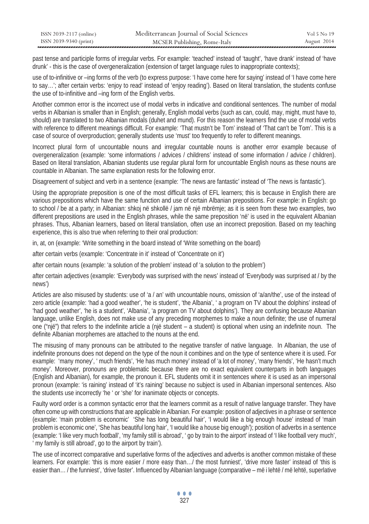| ISSN 2039-2117 (online) | Mediterranean Journal of Social Sciences | Vol 5 No 19 |
|-------------------------|------------------------------------------|-------------|
| ISSN 2039-9340 (print)  | MCSER Publishing, Rome-Italy             | August 2014 |

past tense and participle forms of irregular verbs. For example: 'teached' instead of 'taught', 'have drank' instead of 'have drunk' - this is the case of overgeneralization (extension of target language rules to inappropriate contexts);

use of to-infinitive or –ing forms of the verb (to express purpose: 'I have come here for saying' instead of 'I have come here to say…'; after certain verbs: 'enjoy to read' instead of 'enjoy reading'). Based on literal translation, the students confuse the use of to-infinitive and –ing form of the English verbs.

Another common error is the incorrect use of modal verbs in indicative and conditional sentences. The number of modal verbs in Albanian is smaller than in English; generally, English modal verbs (such as can, could, may, might, must have to, should) are translated to two Albanian modals (duhet and mund). For this reason the learners find the use of modal verbs with reference to different meanings difficult. For example: 'That mustn't be Tom' instead of 'That can't be Tom'. This is a case of source of overproduction; generally students use 'must' too frequently to refer to different meanings.

Incorrect plural form of uncountable nouns and irregular countable nouns is another error example because of overgeneralization (example: 'some informations / advices / childrens' instead of some information / advice / children). Based on literal translation, Albanian students use regular plural form for uncountable English nouns as these nouns are countable in Albanian. The same explanation rests for the following error.

Disagreement of subject and verb in a sentence (example: 'The news are fantastic' instead of 'The news is fantastic').

Using the appropriate preposition is one of the most difficult tasks of EFL learners; this is because in English there are various prepositions which have the same function and use of certain Albanian prepositions. For example: in English: go to school / be at a party; in Albanian: shkoj në shkollë / jam në një mbrëmje; as it is seen from these two examples, two different prepositions are used in the English phrases, while the same preposition 'në' is used in the equivalent Albanian phrases. Thus, Albanian learners, based on literal translation, often use an incorrect preposition. Based on my teaching experience, this is also true when referring to their oral production:

in, at, on (example: 'Write something in the board instead of 'Write something on the board)

after certain verbs (example: 'Concentrate in it' instead of 'Concentrate on it')

after certain nouns (example: 'a solution of the problem' instead of 'a solution to the problem')

after certain adjectives (example: 'Everybody was surprised with the news' instead of 'Everybody was surprised at / by the news')

Articles are also misused by students: use of 'a / an' with uncountable nouns, omission of 'a/an/the', use of the instead of zero article (example: 'had a good weather', 'he is student', 'the Albania', ' a program on TV about the dolphins' instead of 'had good weather', 'he is a student', 'Albania', 'a program on TV about dolphins'). They are confusing because Albanian language, unlike English, does not make use of any preceding morphemes to make a noun definite; the use of numeral one ("një") that refers to the indefinite article a (një student – a student) is optional when using an indefinite noun. The definite Albanian morphemes are attached to the nouns at the end.

The misusing of many pronouns can be attributed to the negative transfer of native language. In Albanian, the use of indefinite pronouns does not depend on the type of the noun it combines and on the type of sentence where it is used. For example: 'many money', ' much friends', 'He has much money' instead of 'a lot of money', 'many friends', 'He hasn't much money'. Moreover, pronouns are problematic because there are no exact equivalent counterparts in both languages (English and Albanian), for example, the pronoun it. EFL students omit it in sentences where it is used as an impersonal pronoun (example: 'is raining' instead of 'it's raining' because no subject is used in Albanian impersonal sentences. Also the students use incorrectly 'he ' or 'she' for inanimate objects or concepts.

Faulty word order is a common syntactic error that the learners commit as a result of native language transfer. They have often come up with constructions that are applicable in Albanian. For example: position of adjectives in a phrase or sentence (example: 'main problem is economic' 'She has long beautiful hair', 'I would like a big enough house' instead of 'main problem is economic one', 'She has beautiful long hair', 'I would like a house big enough'); position of adverbs in a sentence (example: 'I like very much football', 'my family still is abroad', ' go by train to the airport' instead of 'I like football very much', ' my family is still abroad', go to the airport by train').

The use of incorrect comparative and superlative forms of the adjectives and adverbs is another common mistake of these learners. For example: 'this is more easier / more easy than…/ the most funniest', 'drive more faster' instead of 'this is easier than… / the funniest', 'drive faster'. Influenced by Albanian language (comparative – më i lehtë / më lehtë, superlative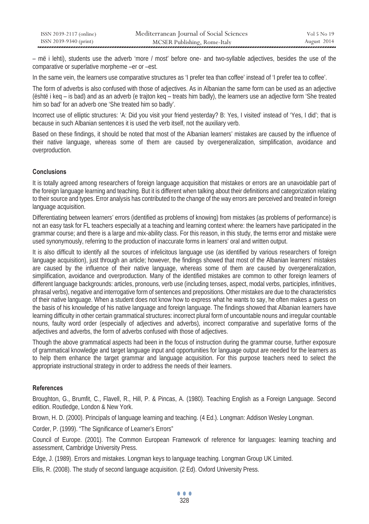| ISSN 2039-2117 (online) | Mediterranean Journal of Social Sciences | Vol 5 No 19 |
|-------------------------|------------------------------------------|-------------|
| ISSN 2039-9340 (print)  | MCSER Publishing, Rome-Italy             | August 2014 |

– më i lehti), students use the adverb 'more / most' before one- and two-syllable adjectives, besides the use of the comparative or superlative morpheme –er or –est.

In the same vein, the learners use comparative structures as 'I prefer tea than coffee' instead of 'I prefer tea to coffee'.

The form of adverbs is also confused with those of adjectives. As in Albanian the same form can be used as an adjective (është i keq – is bad) and as an adverb (e trajton keq – treats him badly), the learners use an adjective form 'She treated him so bad' for an adverb one 'She treated him so badly'.

Incorrect use of elliptic structures: 'A: Did you visit your friend yesterday? B: Yes, I visited' instead of 'Yes, I did'; that is because in such Albanian sentences it is used the verb itself, not the auxiliary verb.

Based on these findings, it should be noted that most of the Albanian learners' mistakes are caused by the influence of their native language, whereas some of them are caused by overgeneralization, simplification, avoidance and overproduction.

### **Conclusions**

It is totally agreed among researchers of foreign language acquisition that mistakes or errors are an unavoidable part of the foreign language learning and teaching. But it is different when talking about their definitions and categorization relating to their source and types. Error analysis has contributed to the change of the way errors are perceived and treated in foreign language acquisition.

Differentiating between learners' errors (identified as problems of knowing) from mistakes (as problems of performance) is not an easy task for FL teachers especially at a teaching and learning context where: the learners have participated in the grammar course; and there is a large and mix-ability class. For this reason, in this study, the terms error and mistake were used synonymously, referring to the production of inaccurate forms in learners' oral and written output.

It is also difficult to identify all the sources of infelicitous language use (as identified by various researchers of foreign language acquisition), just through an article; however, the findings showed that most of the Albanian learners' mistakes are caused by the influence of their native language, whereas some of them are caused by overgeneralization, simplification, avoidance and overproduction. Many of the identified mistakes are common to other foreign learners of different language backgrounds: articles, pronouns, verb use (including tenses, aspect, modal verbs, participles, infinitives, phrasal verbs), negative and interrogative form of sentences and prepositions. Other mistakes are due to the characteristics of their native language. When a student does not know how to express what he wants to say, he often makes a guess on the basis of his knowledge of his native language and foreign language. The findings showed that Albanian learners have learning difficulty in other certain grammatical structures: incorrect plural form of uncountable nouns and irregular countable nouns, faulty word order (especially of adjectives and adverbs), incorrect comparative and superlative forms of the adjectives and adverbs, the form of adverbs confused with those of adjectives.

Though the above grammatical aspects had been in the focus of instruction during the grammar course, further exposure of grammatical knowledge and target language input and opportunities for language output are needed for the learners as to help them enhance the target grammar and language acquisition. For this purpose teachers need to select the appropriate instructional strategy in order to address the needs of their learners.

### **References**

Broughton, G., Brumfit, C., Flavell, R., Hill, P. & Pincas, A. (1980). Teaching English as a Foreign Language. Second edition. Routledge, London & New York.

Brown, H. D. (2000). Principals of language learning and teaching. (4 Ed.). Longman: Addison Wesley Longman.

Corder, P. (1999). "The Significance of Learner's Errors"

Council of Europe. (2001). The Common European Framework of reference for languages: learning teaching and assessment, Cambridge University Press.

Edge, J. (1989). Errors and mistakes. Longman keys to language teaching. Longman Group UK Limited.

Ellis, R. (2008). The study of second language acquisition. (2 Ed). Oxford University Press.